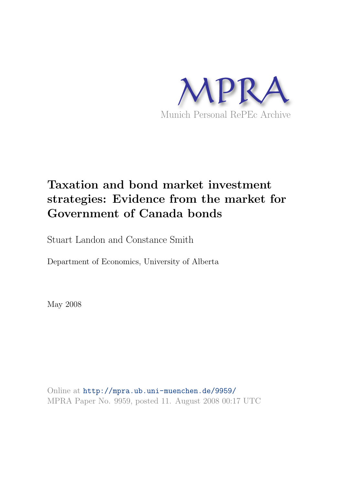

# Taxation and bond market investment strategies: Evidence from the market for Government of Canada bonds

Stuart Landon and Constance Smith

Department of Economics, University of Alberta

May 2008

Online at <http://mpra.ub.uni-muenchen.de/9959/> MPRA Paper No. 9959, posted 11. August 2008 00:17 UTC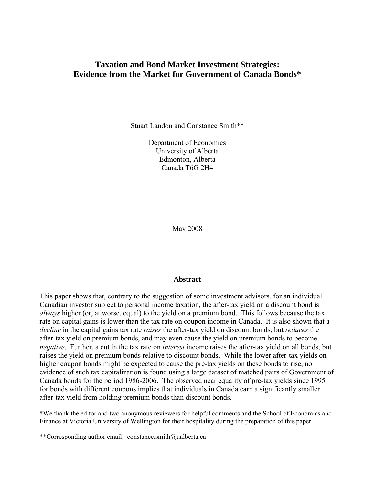# **Taxation and Bond Market Investment Strategies: Evidence from the Market for Government of Canada Bonds\***

Stuart Landon and Constance Smith\*\*

Department of Economics University of Alberta Edmonton, Alberta Canada T6G 2H4

May 2008

## **Abstract**

This paper shows that, contrary to the suggestion of some investment advisors, for an individual Canadian investor subject to personal income taxation, the after-tax yield on a discount bond is *always* higher (or, at worse, equal) to the yield on a premium bond. This follows because the tax rate on capital gains is lower than the tax rate on coupon income in Canada. It is also shown that a *decline* in the capital gains tax rate *raises* the after-tax yield on discount bonds, but *reduces* the after-tax yield on premium bonds, and may even cause the yield on premium bonds to become *negative*. Further, a cut in the tax rate on *interest* income raises the after-tax yield on all bonds, but raises the yield on premium bonds relative to discount bonds. While the lower after-tax yields on higher coupon bonds might be expected to cause the pre-tax yields on these bonds to rise, no evidence of such tax capitalization is found using a large dataset of matched pairs of Government of Canada bonds for the period 1986-2006. The observed near equality of pre-tax yields since 1995 for bonds with different coupons implies that individuals in Canada earn a significantly smaller after-tax yield from holding premium bonds than discount bonds.

\*We thank the editor and two anonymous reviewers for helpful comments and the School of Economics and Finance at Victoria University of Wellington for their hospitality during the preparation of this paper.

\*\*Corresponding author email: constance.smith@ualberta.ca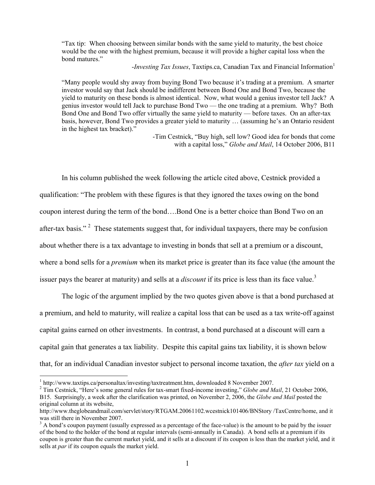"Tax tip: When choosing between similar bonds with the same yield to maturity, the best choice would be the one with the highest premium, because it will provide a higher capital loss when the bond matures."

*-Investing Tax Issues*, Taxtips.ca, Canadian Tax and Financial Information<sup>1</sup>

"Many people would shy away from buying Bond Two because it's trading at a premium. A smarter investor would say that Jack should be indifferent between Bond One and Bond Two, because the yield to maturity on these bonds is almost identical. Now, what would a genius investor tell Jack? A genius investor would tell Jack to purchase Bond Two — the one trading at a premium. Why? Both Bond One and Bond Two offer virtually the same yield to maturity — before taxes. On an after-tax basis, however, Bond Two provides a greater yield to maturity … (assuming he's an Ontario resident in the highest tax bracket)."

> -Tim Cestnick, "Buy high, sell low? Good idea for bonds that come with a capital loss," *Globe and Mail*, 14 October 2006, B11

In his column published the week following the article cited above, Cestnick provided a qualification: "The problem with these figures is that they ignored the taxes owing on the bond coupon interest during the term of the bond….Bond One is a better choice than Bond Two on an after-tax basis."<sup>[2](#page-2-1)</sup> These statements suggest that, for individual taxpayers, there may be confusion about whether there is a tax advantage to investing in bonds that sell at a premium or a discount, where a bond sells for a *premium* when its market price is greater than its face value (the amount the issuer pays the bearer at maturity) and sells at a *discount* if its price is less than its face value.<sup>3</sup>

The logic of the argument implied by the two quotes given above is that a bond purchased at a premium, and held to maturity, will realize a capital loss that can be used as a tax write-off against capital gains earned on other investments. In contrast, a bond purchased at a discount will earn a capital gain that generates a tax liability. Despite this capital gains tax liability, it is shown below that, for an individual Canadian investor subject to personal income taxation, the *after tax* yield on a

<span id="page-2-0"></span><sup>&</sup>lt;sup>1</sup> http://www.taxtips.ca/personaltax/investing/taxtreatment.htm, downloaded 8 November 2007.

<span id="page-2-1"></span><sup>&</sup>lt;sup>2</sup> Tim Cestnick, "Here's some general rules for tax-smart fixed-income investing," *Globe and Mail*, 21 October 2006, B15. Surprisingly, a week after the clarification was printed, on November 2, 2006, the *Globe and Mail* posted the original column at its website,

http://www.theglobeandmail.com/servlet/story/RTGAM.20061102.wcestnick101406/BNStory /TaxCentre/home, and it was still there in November 2007.

<span id="page-2-2"></span> $3$  A bond's coupon payment (usually expressed as a percentage of the face-value) is the amount to be paid by the issuer of the bond to the holder of the bond at regular intervals (semi-annually in Canada). A bond sells at a premium if its coupon is greater than the current market yield, and it sells at a discount if its coupon is less than the market yield, and it sells at *par* if its coupon equals the market yield.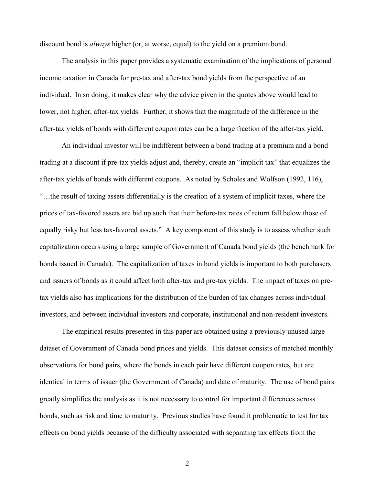discount bond is *always* higher (or, at worse, equal) to the yield on a premium bond.

The analysis in this paper provides a systematic examination of the implications of personal income taxation in Canada for pre-tax and after-tax bond yields from the perspective of an individual. In so doing, it makes clear why the advice given in the quotes above would lead to lower, not higher, after-tax yields. Further, it shows that the magnitude of the difference in the after-tax yields of bonds with different coupon rates can be a large fraction of the after-tax yield.

An individual investor will be indifferent between a bond trading at a premium and a bond trading at a discount if pre-tax yields adjust and, thereby, create an "implicit tax" that equalizes the after-tax yields of bonds with different coupons. As noted by Scholes and Wolfson (1992, 116), "…the result of taxing assets differentially is the creation of a system of implicit taxes, where the prices of tax-favored assets are bid up such that their before-tax rates of return fall below those of equally risky but less tax-favored assets." A key component of this study is to assess whether such capitalization occurs using a large sample of Government of Canada bond yields (the benchmark for bonds issued in Canada). The capitalization of taxes in bond yields is important to both purchasers and issuers of bonds as it could affect both after-tax and pre-tax yields. The impact of taxes on pretax yields also has implications for the distribution of the burden of tax changes across individual investors, and between individual investors and corporate, institutional and non-resident investors.

The empirical results presented in this paper are obtained using a previously unused large dataset of Government of Canada bond prices and yields. This dataset consists of matched monthly observations for bond pairs, where the bonds in each pair have different coupon rates, but are identical in terms of issuer (the Government of Canada) and date of maturity. The use of bond pairs greatly simplifies the analysis as it is not necessary to control for important differences across bonds, such as risk and time to maturity. Previous studies have found it problematic to test for tax effects on bond yields because of the difficulty associated with separating tax effects from the

2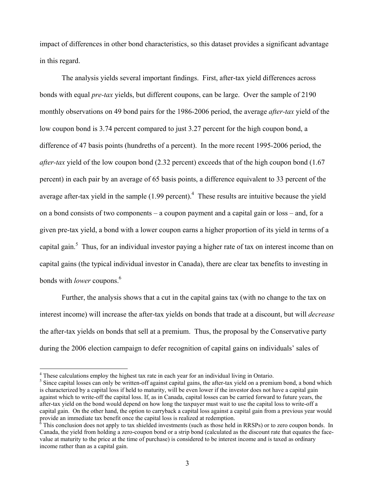impact of differences in other bond characteristics, so this dataset provides a significant advantage in this regard.

The analysis yields several important findings. First, after-tax yield differences across bonds with equal *pre-tax* yields, but different coupons, can be large. Over the sample of 2190 monthly observations on 49 bond pairs for the 1986-2006 period, the average *after-tax* yield of the low coupon bond is 3.74 percent compared to just 3.27 percent for the high coupon bond, a difference of 47 basis points (hundreths of a percent). In the more recent 1995-2006 period, the *after-tax* yield of the low coupon bond (2.32 percent) exceeds that of the high coupon bond (1.67 percent) in each pair by an average of 65 basis points, a difference equivalent to 33 percent of the average after-tax yield in the sample  $(1.99$  percent).<sup>4</sup> These results are intuitive because the yield on a bond consists of two components – a coupon payment and a capital gain or loss – and, for a given pre-tax yield, a bond with a lower coupon earns a higher proportion of its yield in terms of a capital gain.<sup>5</sup> Thus, for an individual investor paying a higher rate of tax on interest income than on capital gains (the typical individual investor in Canada), there are clear tax benefits to investing in bonds with *lower* coupons[.6](#page-4-2)

Further, the analysis shows that a cut in the capital gains tax (with no change to the tax on interest income) will increase the after-tax yields on bonds that trade at a discount, but will *decrease* the after-tax yields on bonds that sell at a premium. Thus, the proposal by the Conservative party during the 2006 election campaign to defer recognition of capital gains on individuals' sales of

<span id="page-4-0"></span><sup>&</sup>lt;sup>4</sup> These calculations employ the highest tax rate in each year for an individual living in Ontario.

<span id="page-4-1"></span><sup>&</sup>lt;sup>5</sup> Since capital losses can only be written-off against capital gains, the after-tax yield on a premium bond, a bond which is characterized by a capital loss if held to maturity, will be even lower if the investor does not have a capital gain against which to write-off the capital loss. If, as in Canada, capital losses can be carried forward to future years, the after-tax yield on the bond would depend on how long the taxpayer must wait to use the capital loss to write-off a capital gain. On the other hand, the option to carryback a capital loss against a capital gain from a previous year would provide an immediate tax benefit once the capital loss is realized at redemption. 6

<span id="page-4-2"></span> $\delta$  This conclusion does not apply to tax shielded investments (such as those held in RRSPs) or to zero coupon bonds. In Canada, the yield from holding a zero-coupon bond or a strip bond (calculated as the discount rate that equates the facevalue at maturity to the price at the time of purchase) is considered to be interest income and is taxed as ordinary income rather than as a capital gain.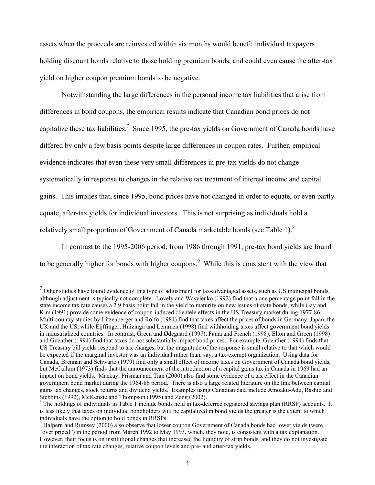assets when the proceeds are reinvested within six months would benefit individual taxpayers holding discount bonds relative to those holding premium bonds, and could even cause the after-tax yield on higher coupon premium bonds to be negative.

Notwithstanding the large differences in the personal income tax liabilities that arise from differences in bond coupons, the empirical results indicate that Canadian bond prices do not capitalize these tax liabilities.<sup>[7](#page-5-0)</sup> Since 1995, the pre-tax yields on Government of Canada bonds have differed by only a few basis points despite large differences in coupon rates. Further, empirical evidence indicates that even these very small differences in pre-tax yields do not change systematically in response to changes in the relative tax treatment of interest income and capital gains. This implies that, since 1995, bond prices have not changed in order to equate, or even partly equate, after-tax yields for individual investors. This is not surprising as individuals hold a relatively small proportion of Government of Canada marketable bonds (see Table 1). $^{8}$  $^{8}$  $^{8}$ 

In contrast to the 1995-2006 period, from 1986 through 1991, pre-tax bond yields are found to be generally higher for bonds with higher coupons.<sup>9</sup> While this is consistent with the view that

<span id="page-5-0"></span> $<sup>7</sup>$  Other studies have found evidence of this type of adjustment for tax-advantaged assets, such as US municipal bonds,</sup> although adjustment is typically not complete. Lovely and Wasylenko (1992) find that a one percentage point fall in the state income tax rate causes a 2.9 basis point fall in the yield to maturity on new issues of state bonds, while Gay and Kim (1991) provide some evidence of coupon-induced clientele effects in the US Treasury market during 1977-86. Multi-country studies by Litzenberger and Rolfo (1984) find that taxes affect the prices of bonds in Germany, Japan, the UK and the US, while Eijffinger, Huizinga and Lemmen (1998) find withholding taxes affect government bond yields in industrialized countries. In contrast, Green and Ødegaard (1997), Fama and French (1998), Elton and Green (1998) and Guenther (1994) find that taxes do not substantially impact bond prices. For example, Guenther (1994) finds that US Treasury bill yields respond to tax changes, but the magnitude of the response is small relative to that which would be expected if the marginal investor was an individual rather than, say, a tax-exempt organization. Using data for Canada, Brennan and Schwartz (1979) find only a small effect of income taxes on Government of Canada bond yields, but McCallum (1973) finds that the announcement of the introduction of a capital gains tax in Canada in 1969 had an impact on bond yields. Mackay, Prisman and Tian (2000) also find some evidence of a tax effect in the Canadian government bond market during the 1964-86 period. There is also a large related literature on the link between capital gains tax changes, stock returns and dividend yields. Examples using Canadian data include Amoaku-Adu, Rashid and Stebbins (1992), McKenzie and Thompson (1995) and Zeng (2002).

<span id="page-5-1"></span> $8$  The holdings of individuals in Table 1 include bonds held in tax-deferred registered savings plan (RRSP) accounts. It is less likely that taxes on individual bondholders will be capitalized in bond yields the greater is the extent to which individuals have the option to hold bonds in RRSPs.

<span id="page-5-2"></span> $\degree$  Halpern and Rumsey (2000) also observe that lower coupon Government of Canada bonds had lower yields (were "over priced") in the period from March 1992 to May 1993, which, they note, is consistent with a tax explanation. However, their focus is on institutional changes that increased the liquidity of strip bonds, and they do not investigate the interaction of tax rate changes, relative coupon levels and pre- and after-tax yields.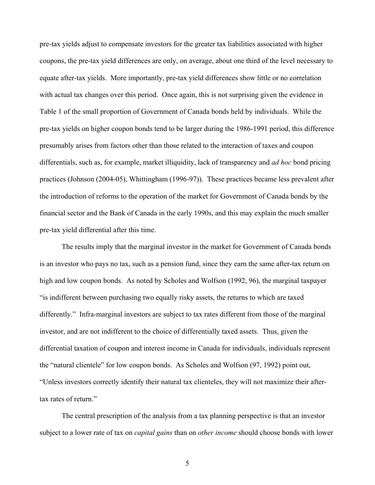pre-tax yields adjust to compensate investors for the greater tax liabilities associated with higher coupons, the pre-tax yield differences are only, on average, about one third of the level necessary to equate after-tax yields. More importantly, pre-tax yield differences show little or no correlation with actual tax changes over this period. Once again, this is not surprising given the evidence in Table 1 of the small proportion of Government of Canada bonds held by individuals. While the pre-tax yields on higher coupon bonds tend to be larger during the 1986-1991 period, this difference presumably arises from factors other than those related to the interaction of taxes and coupon differentials, such as, for example, market illiquidity, lack of transparency and *ad hoc* bond pricing practices (Johnson (2004-05), Whittingham (1996-97)). These practices became less prevalent after the introduction of reforms to the operation of the market for Government of Canada bonds by the financial sector and the Bank of Canada in the early 1990s, and this may explain the much smaller pre-tax yield differential after this time.

The results imply that the marginal investor in the market for Government of Canada bonds is an investor who pays no tax, such as a pension fund, since they earn the same after-tax return on high and low coupon bonds. As noted by Scholes and Wolfson (1992, 96), the marginal taxpayer "is indifferent between purchasing two equally risky assets, the returns to which are taxed differently." Infra-marginal investors are subject to tax rates different from those of the marginal investor, and are not indifferent to the choice of differentially taxed assets. Thus, given the differential taxation of coupon and interest income in Canada for individuals, individuals represent the "natural clientele" for low coupon bonds. As Scholes and Wolfson (97, 1992) point out, "Unless investors correctly identify their natural tax clienteles, they will not maximize their aftertax rates of return."

The central prescription of the analysis from a tax planning perspective is that an investor subject to a lower rate of tax on *capital gains* than on *other income* should choose bonds with lower

5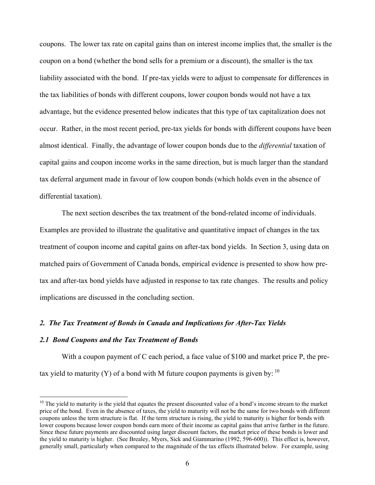coupons. The lower tax rate on capital gains than on interest income implies that, the smaller is the coupon on a bond (whether the bond sells for a premium or a discount), the smaller is the tax liability associated with the bond. If pre-tax yields were to adjust to compensate for differences in the tax liabilities of bonds with different coupons, lower coupon bonds would not have a tax advantage, but the evidence presented below indicates that this type of tax capitalization does not occur. Rather, in the most recent period, pre-tax yields for bonds with different coupons have been almost identical. Finally, the advantage of lower coupon bonds due to the *differential* taxation of capital gains and coupon income works in the same direction, but is much larger than the standard tax deferral argument made in favour of low coupon bonds (which holds even in the absence of differential taxation).

 The next section describes the tax treatment of the bond-related income of individuals. Examples are provided to illustrate the qualitative and quantitative impact of changes in the tax treatment of coupon income and capital gains on after-tax bond yields. In Section 3, using data on matched pairs of Government of Canada bonds, empirical evidence is presented to show how pretax and after-tax bond yields have adjusted in response to tax rate changes. The results and policy implications are discussed in the concluding section.

## *2. The Tax Treatment of Bonds in Canada and Implications for After-Tax Yields*

## *2.1 Bond Coupons and the Tax Treatment of Bonds*

 $\overline{a}$ 

With a coupon payment of C each period, a face value of \$100 and market price P, the pretax yield to maturity (Y) of a bond with M future coupon payments is given by:  $10$ 

<span id="page-7-0"></span> $10$  The yield to maturity is the yield that equates the present discounted value of a bond's income stream to the market price of the bond. Even in the absence of taxes, the yield to maturity will not be the same for two bonds with different coupons unless the term structure is flat. If the term structure is rising, the yield to maturity is higher for bonds with lower coupons because lower coupon bonds earn more of their income as capital gains that arrive farther in the future. Since these future payments are discounted using larger discount factors, the market price of these bonds is lower and the yield to maturity is higher. (See Brealey, Myers, Sick and Giammarino (1992, 596-600)). This effect is, however, generally small, particularly when compared to the magnitude of the tax effects illustrated below. For example, using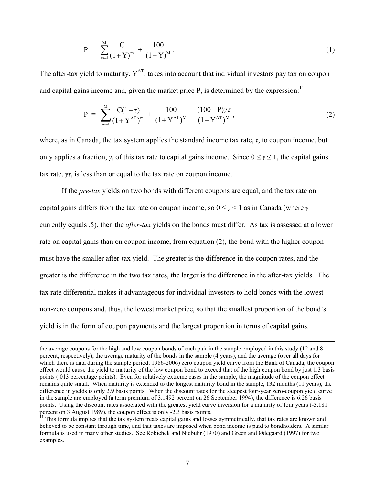$$
P = \sum_{m=1}^{M} \frac{C}{(1+Y)^{m}} + \frac{100}{(1+Y)^{M}}.
$$
 (1)

The after-tax yield to maturity,  $Y^{AT}$ , takes into account that individual investors pay tax on coupon and capital gains income and, given the market price P, is determined by the expression:<sup>11</sup>

$$
P = \sum_{m=1}^{M} \frac{C(1-\tau)}{(1+Y^{AT})^m} + \frac{100}{(1+Y^{AT})^M} - \frac{(100-P)\gamma\tau}{(1+Y^{AT})^M},
$$
\n(2)

where, as in Canada, the tax system applies the standard income tax rate, *τ*, to coupon income, but only applies a fraction, *γ*, of this tax rate to capital gains income. Since  $0 \leq \gamma \leq 1$ , the capital gains tax rate,  $\gamma \tau$ , is less than or equal to the tax rate on coupon income.

If the *pre-tax* yields on two bonds with different coupons are equal, and the tax rate on capital gains differs from the tax rate on coupon income, so 0 ≤ *γ* < 1 as in Canada (where *γ* currently equals .5), then the *after-tax* yields on the bonds must differ. As tax is assessed at a lower rate on capital gains than on coupon income, from equation (2), the bond with the higher coupon must have the smaller after-tax yield. The greater is the difference in the coupon rates, and the greater is the difference in the two tax rates, the larger is the difference in the after-tax yields. The tax rate differential makes it advantageous for individual investors to hold bonds with the lowest non-zero coupons and, thus, the lowest market price, so that the smallest proportion of the bond's yield is in the form of coupon payments and the largest proportion in terms of capital gains.

the average coupons for the high and low coupon bonds of each pair in the sample employed in this study (12 and 8 percent, respectively), the average maturity of the bonds in the sample (4 years), and the average (over all days for which there is data during the sample period, 1986-2006) zero coupon yield curve from the Bank of Canada, the coupon effect would cause the yield to maturity of the low coupon bond to exceed that of the high coupon bond by just 1.3 basis points (.013 percentage points). Even for relatively extreme cases in the sample, the magnitude of the coupon effect remains quite small. When maturity is extended to the longest maturity bond in the sample, 132 months (11 years), the difference in yields is only 2.9 basis points. When the discount rates for the steepest four-year zero-coupon yield curve in the sample are employed (a term premium of 3.1492 percent on 26 September 1994), the difference is 6.26 basis points. Using the discount rates associated with the greatest yield curve inversion for a maturity of four years (-3.181 percent on 3 August 1989), the coupon effect is only -2.3 basis points.<br><sup>11</sup> This formula implies that the tax system treats capital gains and losses symmetrically, that tax rates are known and

<span id="page-8-0"></span>believed to be constant through time, and that taxes are imposed when bond income is paid to bondholders. A similar formula is used in many other studies. See Robichek and Niebuhr (1970) and Green and Ødegaard (1997) for two examples.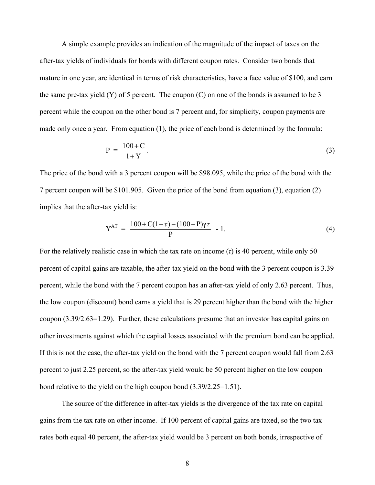A simple example provides an indication of the magnitude of the impact of taxes on the after-tax yields of individuals for bonds with different coupon rates. Consider two bonds that mature in one year, are identical in terms of risk characteristics, have a face value of \$100, and earn the same pre-tax yield  $(Y)$  of 5 percent. The coupon  $(C)$  on one of the bonds is assumed to be 3 percent while the coupon on the other bond is 7 percent and, for simplicity, coupon payments are made only once a year. From equation (1), the price of each bond is determined by the formula:

$$
P = \frac{100 + C}{1 + Y}.\tag{3}
$$

The price of the bond with a 3 percent coupon will be \$98.095, while the price of the bond with the 7 percent coupon will be \$101.905. Given the price of the bond from equation (3), equation (2) implies that the after-tax yield is:

$$
Y^{AT} = \frac{100 + C(1 - \tau) - (100 - P)\gamma \tau}{P} - 1.
$$
 (4)

For the relatively realistic case in which the tax rate on income (*τ*) is 40 percent, while only 50 percent of capital gains are taxable, the after-tax yield on the bond with the 3 percent coupon is 3.39 percent, while the bond with the 7 percent coupon has an after-tax yield of only 2.63 percent. Thus, the low coupon (discount) bond earns a yield that is 29 percent higher than the bond with the higher coupon (3.39/2.63=1.29). Further, these calculations presume that an investor has capital gains on other investments against which the capital losses associated with the premium bond can be applied. If this is not the case, the after-tax yield on the bond with the 7 percent coupon would fall from 2.63 percent to just 2.25 percent, so the after-tax yield would be 50 percent higher on the low coupon bond relative to the yield on the high coupon bond (3.39/2.25=1.51).

The source of the difference in after-tax yields is the divergence of the tax rate on capital gains from the tax rate on other income. If 100 percent of capital gains are taxed, so the two tax rates both equal 40 percent, the after-tax yield would be 3 percent on both bonds, irrespective of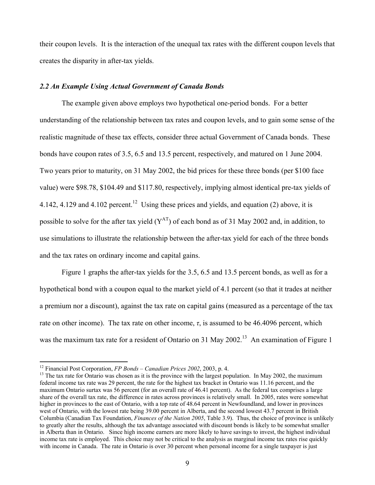their coupon levels. It is the interaction of the unequal tax rates with the different coupon levels that creates the disparity in after-tax yields.

# *2.2 An Example Using Actual Government of Canada Bonds*

The example given above employs two hypothetical one-period bonds. For a better understanding of the relationship between tax rates and coupon levels, and to gain some sense of the realistic magnitude of these tax effects, consider three actual Government of Canada bonds. These bonds have coupon rates of 3.5, 6.5 and 13.5 percent, respectively, and matured on 1 June 2004. Two years prior to maturity, on 31 May 2002, the bid prices for these three bonds (per \$100 face value) were \$98.78, \$104.49 and \$117.80, respectively, implying almost identical pre-tax yields of 4.142, 4.129 and 4.102 percent.<sup>12</sup> Using these prices and yields, and equation (2) above, it is possible to solve for the after tax yield  $(Y^{AT})$  of each bond as of 31 May 2002 and, in addition, to use simulations to illustrate the relationship between the after-tax yield for each of the three bonds and the tax rates on ordinary income and capital gains.

Figure 1 graphs the after-tax yields for the 3.5, 6.5 and 13.5 percent bonds, as well as for a hypothetical bond with a coupon equal to the market yield of 4.1 percent (so that it trades at neither a premium nor a discount), against the tax rate on capital gains (measured as a percentage of the tax rate on other income). The tax rate on other income,  $\tau$ , is assumed to be 46.4096 percent, which was the maximum tax rate for a resident of Ontario on 31 May 2002.<sup>13</sup> An examination of Figure 1

<span id="page-10-0"></span><sup>&</sup>lt;sup>12</sup> Financial Post Corporation,  $FP$  Bonds – Canadian Prices 2002, 2003, p. 4.

<span id="page-10-1"></span> $^{13}$  The tax rate for Ontario was chosen as it is the province with the largest population. In May 2002, the maximum federal income tax rate was 29 percent, the rate for the highest tax bracket in Ontario was 11.16 percent, and the maximum Ontario surtax was 56 percent (for an overall rate of 46.41 percent). As the federal tax comprises a large share of the overall tax rate, the difference in rates across provinces is relatively small. In 2005, rates were somewhat higher in provinces to the east of Ontario, with a top rate of 48.64 percent in Newfoundland, and lower in provinces west of Ontario, with the lowest rate being 39.00 percent in Alberta, and the second lowest 43.7 percent in British Columbia (Canadian Tax Foundation, *Finances of the Nation 2005*, Table 3.9). Thus, the choice of province is unlikely to greatly alter the results, although the tax advantage associated with discount bonds is likely to be somewhat smaller in Alberta than in Ontario. Since high income earners are more likely to have savings to invest, the highest individual income tax rate is employed. This choice may not be critical to the analysis as marginal income tax rates rise quickly with income in Canada. The rate in Ontario is over 30 percent when personal income for a single taxpayer is just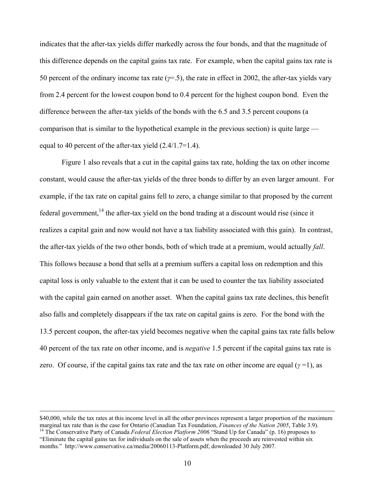indicates that the after-tax yields differ markedly across the four bonds, and that the magnitude of this difference depends on the capital gains tax rate. For example, when the capital gains tax rate is 50 percent of the ordinary income tax rate (*γ*=.5), the rate in effect in 2002, the after-tax yields vary from 2.4 percent for the lowest coupon bond to 0.4 percent for the highest coupon bond. Even the difference between the after-tax yields of the bonds with the 6.5 and 3.5 percent coupons (a comparison that is similar to the hypothetical example in the previous section) is quite large equal to 40 percent of the after-tax yield  $(2.4/1.7=1.4)$ .

Figure 1 also reveals that a cut in the capital gains tax rate, holding the tax on other income constant, would cause the after-tax yields of the three bonds to differ by an even larger amount. For example, if the tax rate on capital gains fell to zero, a change similar to that proposed by the current federal government,  $^{14}$  the after-tax yield on the bond trading at a discount would rise (since it realizes a capital gain and now would not have a tax liability associated with this gain). In contrast, the after-tax yields of the two other bonds, both of which trade at a premium, would actually *fall*. This follows because a bond that sells at a premium suffers a capital loss on redemption and this capital loss is only valuable to the extent that it can be used to counter the tax liability associated with the capital gain earned on another asset. When the capital gains tax rate declines, this benefit also falls and completely disappears if the tax rate on capital gains is zero. For the bond with the 13.5 percent coupon, the after-tax yield becomes negative when the capital gains tax rate falls below 40 percent of the tax rate on other income, and is *negative* 1.5 percent if the capital gains tax rate is zero. Of course, if the capital gains tax rate and the tax rate on other income are equal ( $\gamma$  =1), as

<span id="page-11-0"></span><sup>\$40,000,</sup> while the tax rates at this income level in all the other provinces represent a larger proportion of the maximum marginal tax rate than is the case for Ontario (Canadian Tax Foundation, *Finances of the Nation 2005*, Table 3.9).<br><sup>14</sup> The Conservative Party of Canada *Federal Election Platform 2006* "Stand Up for Canada" (p. 16) propo "Eliminate the capital gains tax for individuals on the sale of assets when the proceeds are reinvested within six months." <http://www.conservative.ca/media/20060113-Platform.pdf>, downloaded 30 July 2007.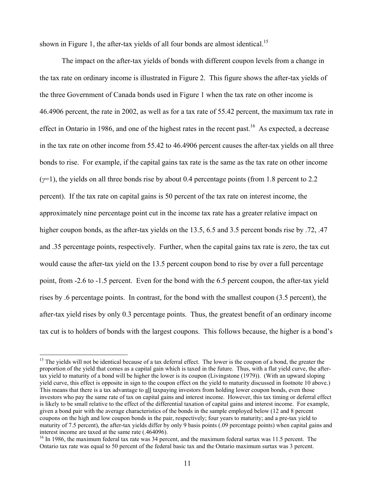shown in Figure 1, the after-tax yields of all four bonds are almost identical.<sup>[15](#page-12-0)</sup>

The impact on the after-tax yields of bonds with different coupon levels from a change in the tax rate on ordinary income is illustrated in Figure 2. This figure shows the after-tax yields of the three Government of Canada bonds used in Figure 1 when the tax rate on other income is 46.4906 percent, the rate in 2002, as well as for a tax rate of 55.42 percent, the maximum tax rate in effect in Ontario in 1986, and one of the highest rates in the recent past.<sup>16</sup> As expected, a decrease in the tax rate on other income from 55.42 to 46.4906 percent causes the after-tax yields on all three bonds to rise. For example, if the capital gains tax rate is the same as the tax rate on other income (*γ*=1), the yields on all three bonds rise by about 0.4 percentage points (from 1.8 percent to 2.2 percent). If the tax rate on capital gains is 50 percent of the tax rate on interest income, the approximately nine percentage point cut in the income tax rate has a greater relative impact on higher coupon bonds, as the after-tax yields on the 13.5, 6.5 and 3.5 percent bonds rise by .72, .47 and .35 percentage points, respectively. Further, when the capital gains tax rate is zero, the tax cut would cause the after-tax yield on the 13.5 percent coupon bond to rise by over a full percentage point, from -2.6 to -1.5 percent. Even for the bond with the 6.5 percent coupon, the after-tax yield rises by .6 percentage points. In contrast, for the bond with the smallest coupon (3.5 percent), the after-tax yield rises by only 0.3 percentage points. Thus, the greatest benefit of an ordinary income tax cut is to holders of bonds with the largest coupons. This follows because, the higher is a bond's

<span id="page-12-0"></span><sup>&</sup>lt;sup>15</sup> The yields will not be identical because of a tax deferral effect. The lower is the coupon of a bond, the greater the proportion of the yield that comes as a capital gain which is taxed in the future. Thus, with a flat yield curve, the aftertax yield to maturity of a bond will be higher the lower is its coupon (Livingstone (1979)). (With an upward sloping yield curve, this effect is opposite in sign to the coupon effect on the yield to maturity discussed in footnote 10 above.) This means that there is a tax advantage to all taxpaying investors from holding lower coupon bonds, even those investors who pay the same rate of tax on capital gains and interest income. However, this tax timing or deferral effect is likely to be small relative to the effect of the differential taxation of capital gains and interest income. For example, given a bond pair with the average characteristics of the bonds in the sample employed below (12 and 8 percent coupons on the high and low coupon bonds in the pair, respectively; four years to maturity; and a pre-tax yield to maturity of 7.5 percent), the after-tax yields differ by only 9 basis points (.09 percentage points) when capital gains and interest income are taxed at the same rate (.464096).<br><sup>16</sup> In 1986, the maximum federal tax rate was 34 percent, and the maximum federal surtax was 11.5 percent. The

<span id="page-12-1"></span>Ontario tax rate was equal to 50 percent of the federal basic tax and the Ontario maximum surtax was 3 percent.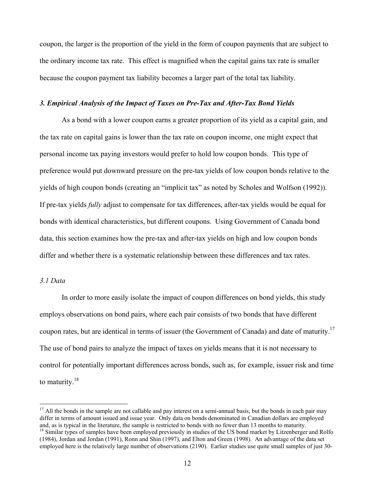coupon, the larger is the proportion of the yield in the form of coupon payments that are subject to the ordinary income tax rate. This effect is magnified when the capital gains tax rate is smaller because the coupon payment tax liability becomes a larger part of the total tax liability.

## *3. Empirical Analysis of the Impact of Taxes on Pre-Tax and After-Tax Bond Yields*

As a bond with a lower coupon earns a greater proportion of its yield as a capital gain, and the tax rate on capital gains is lower than the tax rate on coupon income, one might expect that personal income tax paying investors would prefer to hold low coupon bonds. This type of preference would put downward pressure on the pre-tax yields of low coupon bonds relative to the yields of high coupon bonds (creating an "implicit tax" as noted by Scholes and Wolfson (1992)). If pre-tax yields *fully* adjust to compensate for tax differences, after-tax yields would be equal for bonds with identical characteristics, but different coupons. Using Government of Canada bond data, this section examines how the pre-tax and after-tax yields on high and low coupon bonds differ and whether there is a systematic relationship between these differences and tax rates.

# *3.1 Data*

 $\overline{a}$ 

In order to more easily isolate the impact of coupon differences on bond yields, this study employs observations on bond pairs, where each pair consists of two bonds that have different coupon rates, but are identical in terms of issuer (the Government of Canada) and date of maturity.<sup>17</sup> The use of bond pairs to analyze the impact of taxes on yields means that it is not necessary to control for potentially important differences across bonds, such as, for example, issuer risk and time to maturity. $18$ 

<span id="page-13-1"></span><span id="page-13-0"></span> $17$  All the bonds in the sample are not callable and pay interest on a semi-annual basis, but the bonds in each pair may differ in terms of amount issued and issue year. Only data on bonds denominated in Canadian dollars are employed and, as is typical in the literature, the sample is restricted to bonds with no fewer than 13 months to maturity.<br><sup>18</sup> Similar types of samples have been employed previously in studies of the US bond market by Litzenberger (1984), Jordan and Jordan (1991), Ronn and Shin (1997), and Elton and Green (1998). An advantage of the data set employed here is the relatively large number of observations (2190). Earlier studies use quite small samples of just 30-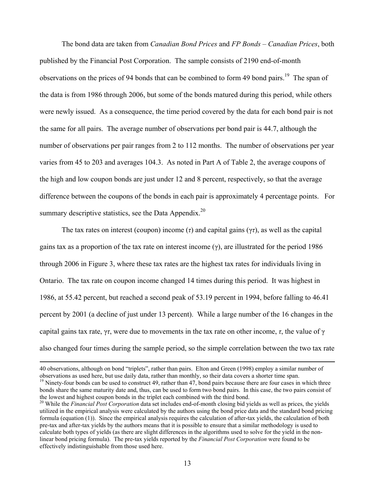The bond data are taken from *Canadian Bond Prices* and *FP Bonds – Canadian Prices*, both published by the Financial Post Corporation. The sample consists of 2190 end-of-month observations on the prices of 94 bonds that can be combined to form 49 bond pairs.<sup>19</sup> The span of the data is from 1986 through 2006, but some of the bonds matured during this period, while others were newly issued. As a consequence, the time period covered by the data for each bond pair is not the same for all pairs. The average number of observations per bond pair is 44.7, although the number of observations per pair ranges from 2 to 112 months. The number of observations per year varies from 45 to 203 and averages 104.3. As noted in Part A of Table 2, the average coupons of the high and low coupon bonds are just under 12 and 8 percent, respectively, so that the average difference between the coupons of the bonds in each pair is approximately 4 percentage points. For summary descriptive statistics, see the Data Appendix.<sup>[20](#page-14-1)</sup>

The tax rates on interest (coupon) income (*τ*) and capital gains (γ*τ*), as well as the capital gains tax as a proportion of the tax rate on interest income  $(y)$ , are illustrated for the period 1986 through 2006 in Figure 3, where these tax rates are the highest tax rates for individuals living in Ontario. The tax rate on coupon income changed 14 times during this period. It was highest in 1986, at 55.42 percent, but reached a second peak of 53.19 percent in 1994, before falling to 46.41 percent by 2001 (a decline of just under 13 percent). While a large number of the 16 changes in the capital gains tax rate,  $\gamma\tau$ , were due to movements in the tax rate on other income,  $\tau$ , the value of  $\gamma$ also changed four times during the sample period, so the simple correlation between the two tax rate

 <sup>40</sup> observations, although on bond "triplets", rather than pairs. Elton and Green (1998) employ a similar number of observations as used here, but use daily data, rather than monthly, so their data covers a shorter time span.<br><sup>19</sup> Ninety-four bonds can be used to construct 49, rather than 47, bond pairs because there are four cases in w

<span id="page-14-0"></span>bonds share the same maturity date and, thus, can be used to form two bond pairs. In this case, the two pairs consist of the lowest and highest coupon bonds in the triplet each combined with the third bond. 20 While the *Financial Post Corporation* data set includes end-of-month closing bid yields as well as prices, the yields

<span id="page-14-1"></span>utilized in the empirical analysis were calculated by the authors using the bond price data and the standard bond pricing formula (equation (1)). Since the empirical analysis requires the calculation of after-tax yields, the calculation of both pre-tax and after-tax yields by the authors means that it is possible to ensure that a similar methodology is used to calculate both types of yields (as there are slight differences in the algorithms used to solve for the yield in the nonlinear bond pricing formula). The pre-tax yields reported by the *Financial Post Corporation* were found to be effectively indistinguishable from those used here.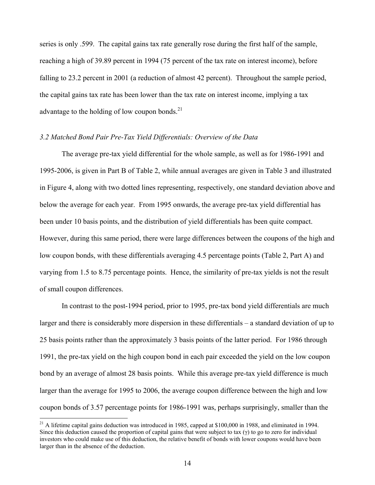series is only .599. The capital gains tax rate generally rose during the first half of the sample, reaching a high of 39.89 percent in 1994 (75 percent of the tax rate on interest income), before falling to 23.2 percent in 2001 (a reduction of almost 42 percent). Throughout the sample period, the capital gains tax rate has been lower than the tax rate on interest income, implying a tax advantage to the holding of low coupon bonds. $^{21}$ 

## *3.2 Matched Bond Pair Pre-Tax Yield Differentials: Overview of the Data*

The average pre-tax yield differential for the whole sample, as well as for 1986-1991 and 1995-2006, is given in Part B of Table 2, while annual averages are given in Table 3 and illustrated in Figure 4, along with two dotted lines representing, respectively, one standard deviation above and below the average for each year. From 1995 onwards, the average pre-tax yield differential has been under 10 basis points, and the distribution of yield differentials has been quite compact. However, during this same period, there were large differences between the coupons of the high and low coupon bonds, with these differentials averaging 4.5 percentage points (Table 2, Part A) and varying from 1.5 to 8.75 percentage points. Hence, the similarity of pre-tax yields is not the result of small coupon differences.

In contrast to the post-1994 period, prior to 1995, pre-tax bond yield differentials are much larger and there is considerably more dispersion in these differentials – a standard deviation of up to 25 basis points rather than the approximately 3 basis points of the latter period. For 1986 through 1991, the pre-tax yield on the high coupon bond in each pair exceeded the yield on the low coupon bond by an average of almost 28 basis points. While this average pre-tax yield difference is much larger than the average for 1995 to 2006, the average coupon difference between the high and low coupon bonds of 3.57 percentage points for 1986-1991 was, perhaps surprisingly, smaller than the

<span id="page-15-0"></span> $21$  A lifetime capital gains deduction was introduced in 1985, capped at \$100,000 in 1988, and eliminated in 1994. Since this deduction caused the proportion of capital gains that were subject to tax  $(y)$  to go to zero for individual investors who could make use of this deduction, the relative benefit of bonds with lower coupons would have been larger than in the absence of the deduction.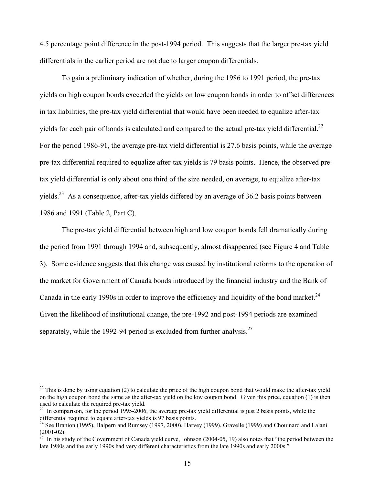4.5 percentage point difference in the post-1994 period. This suggests that the larger pre-tax yield differentials in the earlier period are not due to larger coupon differentials.

To gain a preliminary indication of whether, during the 1986 to 1991 period, the pre-tax yields on high coupon bonds exceeded the yields on low coupon bonds in order to offset differences in tax liabilities, the pre-tax yield differential that would have been needed to equalize after-tax yields for each pair of bonds is calculated and compared to the actual pre-tax yield differential.<sup>22</sup> For the period 1986-91, the average pre-tax yield differential is 27.6 basis points, while the average pre-tax differential required to equalize after-tax yields is 79 basis points. Hence, the observed pretax yield differential is only about one third of the size needed, on average, to equalize after-tax yields.<sup>23</sup> As a consequence, after-tax yields differed by an average of 36.2 basis points between 1986 and 1991 (Table 2, Part C).

The pre-tax yield differential between high and low coupon bonds fell dramatically during the period from 1991 through 1994 and, subsequently, almost disappeared (see Figure 4 and Table 3). Some evidence suggests that this change was caused by institutional reforms to the operation of the market for Government of Canada bonds introduced by the financial industry and the Bank of Canada in the early 1990s in order to improve the efficiency and liquidity of the bond market.<sup>24</sup> Given the likelihood of institutional change, the pre-1992 and post-1994 periods are examined separately, while the 1992-94 period is excluded from further analysis.<sup>25</sup>

<span id="page-16-0"></span> $22$  This is done by using equation (2) to calculate the price of the high coupon bond that would make the after-tax yield on the high coupon bond the same as the after-tax yield on the low coupon bond. Given this price, equation (1) is then

<span id="page-16-1"></span> $^{23}$  In comparison, for the period 1995-2006, the average pre-tax yield differential is just 2 basis points, while the

<span id="page-16-2"></span>differential required to equate after-tax yields is 97 basis points.<br><sup>24</sup> See Branion (1995), Halpern and Rumsey (1997, 2000), Harvey (1999), Gravelle (1999) and Chouinard and Lalani<br>(2001-02).

<span id="page-16-3"></span> $^{25}$  In his study of the Government of Canada yield curve, Johnson (2004-05, 19) also notes that "the period between the late 1980s and the early 1990s had very different characteristics from the late 1990s and early 2000s."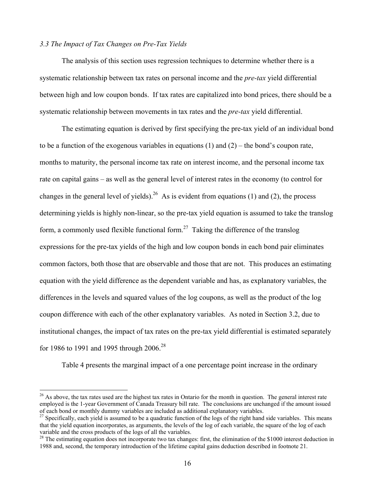# *3.3 The Impact of Tax Changes on Pre-Tax Yields*

 $\overline{a}$ 

The analysis of this section uses regression techniques to determine whether there is a systematic relationship between tax rates on personal income and the *pre-tax* yield differential between high and low coupon bonds. If tax rates are capitalized into bond prices, there should be a systematic relationship between movements in tax rates and the *pre-tax* yield differential.

The estimating equation is derived by first specifying the pre-tax yield of an individual bond to be a function of the exogenous variables in equations  $(1)$  and  $(2)$  – the bond's coupon rate, months to maturity, the personal income tax rate on interest income, and the personal income tax rate on capital gains – as well as the general level of interest rates in the economy (to control for changes in the general level of yields).<sup>26</sup> As is evident from equations (1) and (2), the process determining yields is highly non-linear, so the pre-tax yield equation is assumed to take the translog form, a commonly used flexible functional form.<sup>27</sup> Taking the difference of the translog expressions for the pre-tax yields of the high and low coupon bonds in each bond pair eliminates common factors, both those that are observable and those that are not. This produces an estimating equation with the yield difference as the dependent variable and has, as explanatory variables, the differences in the levels and squared values of the log coupons, as well as the product of the log coupon difference with each of the other explanatory variables. As noted in Section 3.2, due to institutional changes, the impact of tax rates on the pre-tax yield differential is estimated separately for 1986 to 1991 and 1995 through  $2006^{28}$  $2006^{28}$  $2006^{28}$ 

Table 4 presents the marginal impact of a one percentage point increase in the ordinary

<span id="page-17-0"></span> $^{26}$  As above, the tax rates used are the highest tax rates in Ontario for the month in question. The general interest rate employed is the 1-year Government of Canada Treasury bill rate. The conclusions are unchanged if the amount issued<br>of each bond or monthly dummy variables are included as additional explanatory variables.

<span id="page-17-1"></span><sup>&</sup>lt;sup>27</sup> Specifically, each vield is assumed to be a quadratic function of the logs of the right hand side variables. This means that the yield equation incorporates, as arguments, the levels of the log of each variable, the square of the log of each variable and the cross products of the logs of all the variables.<br><sup>28</sup> The estimating equation does not incorporate two tax changes: first, the elimination of the \$1000 interest deduction in

<span id="page-17-2"></span><sup>1988</sup> and, second, the temporary introduction of the lifetime capital gains deduction described in footnote 21.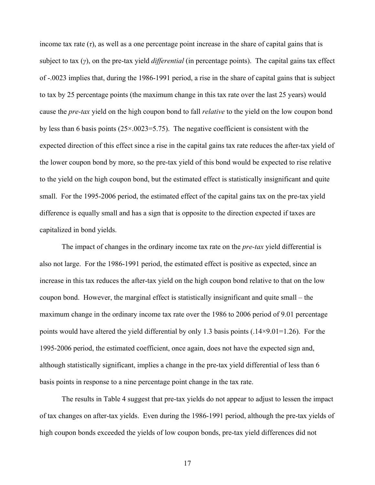income tax rate  $(\tau)$ , as well as a one percentage point increase in the share of capital gains that is subject to tax (*γ*), on the pre-tax yield *differential* (in percentage points). The capital gains tax effect of -.0023 implies that, during the 1986-1991 period, a rise in the share of capital gains that is subject to tax by 25 percentage points (the maximum change in this tax rate over the last 25 years) would cause the *pre-tax* yield on the high coupon bond to fall *relative* to the yield on the low coupon bond by less than 6 basis points (25×.0023=5.75). The negative coefficient is consistent with the expected direction of this effect since a rise in the capital gains tax rate reduces the after-tax yield of the lower coupon bond by more, so the pre-tax yield of this bond would be expected to rise relative to the yield on the high coupon bond, but the estimated effect is statistically insignificant and quite small. For the 1995-2006 period, the estimated effect of the capital gains tax on the pre-tax yield difference is equally small and has a sign that is opposite to the direction expected if taxes are capitalized in bond yields.

The impact of changes in the ordinary income tax rate on the *pre-tax* yield differential is also not large. For the 1986-1991 period, the estimated effect is positive as expected, since an increase in this tax reduces the after-tax yield on the high coupon bond relative to that on the low coupon bond. However, the marginal effect is statistically insignificant and quite small – the maximum change in the ordinary income tax rate over the 1986 to 2006 period of 9.01 percentage points would have altered the yield differential by only 1.3 basis points (.14 $\times$ 9.01=1.26). For the 1995-2006 period, the estimated coefficient, once again, does not have the expected sign and, although statistically significant, implies a change in the pre-tax yield differential of less than 6 basis points in response to a nine percentage point change in the tax rate.

The results in Table 4 suggest that pre-tax yields do not appear to adjust to lessen the impact of tax changes on after-tax yields. Even during the 1986-1991 period, although the pre-tax yields of high coupon bonds exceeded the yields of low coupon bonds, pre-tax yield differences did not

17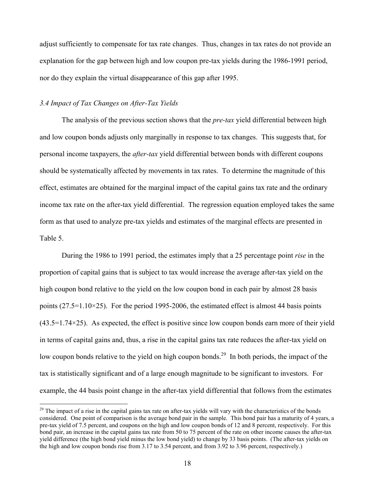adjust sufficiently to compensate for tax rate changes. Thus, changes in tax rates do not provide an explanation for the gap between high and low coupon pre-tax yields during the 1986-1991 period, nor do they explain the virtual disappearance of this gap after 1995.

## *3.4 Impact of Tax Changes on After-Tax Yields*

 $\overline{a}$ 

The analysis of the previous section shows that the *pre-tax* yield differential between high and low coupon bonds adjusts only marginally in response to tax changes. This suggests that, for personal income taxpayers, the *after-tax* yield differential between bonds with different coupons should be systematically affected by movements in tax rates. To determine the magnitude of this effect, estimates are obtained for the marginal impact of the capital gains tax rate and the ordinary income tax rate on the after-tax yield differential. The regression equation employed takes the same form as that used to analyze pre-tax yields and estimates of the marginal effects are presented in Table 5.

During the 1986 to 1991 period, the estimates imply that a 25 percentage point *rise* in the proportion of capital gains that is subject to tax would increase the average after-tax yield on the high coupon bond relative to the yield on the low coupon bond in each pair by almost 28 basis points ( $27.5=1.10\times25$ ). For the period 1995-2006, the estimated effect is almost 44 basis points  $(43.5=1.74\times25)$ . As expected, the effect is positive since low coupon bonds earn more of their yield in terms of capital gains and, thus, a rise in the capital gains tax rate reduces the after-tax yield on low coupon bonds relative to the yield on high coupon bonds.<sup>29</sup> In both periods, the impact of the tax is statistically significant and of a large enough magnitude to be significant to investors. For example, the 44 basis point change in the after-tax yield differential that follows from the estimates

<span id="page-19-0"></span> $29$  The impact of a rise in the capital gains tax rate on after-tax yields will vary with the characteristics of the bonds considered. One point of comparison is the average bond pair in the sample. This bond pair has a maturity of 4 years, a pre-tax yield of 7.5 percent, and coupons on the high and low coupon bonds of 12 and 8 percent, respectively. For this bond pair, an increase in the capital gains tax rate from 50 to 75 percent of the rate on other income causes the after-tax yield difference (the high bond yield minus the low bond yield) to change by 33 basis points. (The after-tax yields on the high and low coupon bonds rise from 3.17 to 3.54 percent, and from 3.92 to 3.96 percent, respectively.)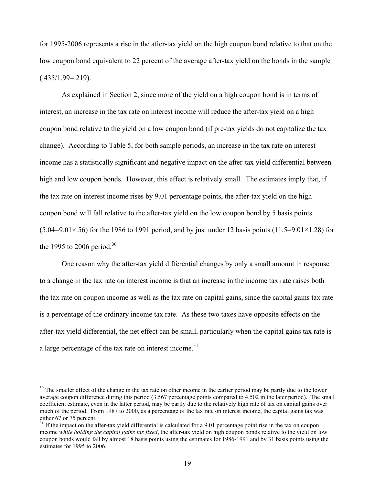for 1995-2006 represents a rise in the after-tax yield on the high coupon bond relative to that on the low coupon bond equivalent to 22 percent of the average after-tax yield on the bonds in the sample  $(.435/1.99=0.219).$ 

As explained in Section 2, since more of the yield on a high coupon bond is in terms of interest, an increase in the tax rate on interest income will reduce the after-tax yield on a high coupon bond relative to the yield on a low coupon bond (if pre-tax yields do not capitalize the tax change). According to Table 5, for both sample periods, an increase in the tax rate on interest income has a statistically significant and negative impact on the after-tax yield differential between high and low coupon bonds. However, this effect is relatively small. The estimates imply that, if the tax rate on interest income rises by 9.01 percentage points, the after-tax yield on the high coupon bond will fall relative to the after-tax yield on the low coupon bond by 5 basis points  $(5.04=9.01\times 56)$  for the 1986 to 1991 period, and by just under 12 basis points (11.5=9.01×1.28) for the 1995 to 2006 period.<sup>[30](#page-20-0)</sup>

One reason why the after-tax yield differential changes by only a small amount in response to a change in the tax rate on interest income is that an increase in the income tax rate raises both the tax rate on coupon income as well as the tax rate on capital gains, since the capital gains tax rate is a percentage of the ordinary income tax rate. As these two taxes have opposite effects on the after-tax yield differential, the net effect can be small, particularly when the capital gains tax rate is a large percentage of the tax rate on interest income.<sup>31</sup>

<span id="page-20-0"></span> $30$  The smaller effect of the change in the tax rate on other income in the earlier period may be partly due to the lower average coupon difference during this period (3.567 percentage points compared to 4.502 in the later period). The small coefficient estimate, even in the latter period, may be partly due to the relatively high rate of tax on capital gains over much of the period. From 1987 to 2000, as a percentage of the tax rate on interest income, the capital gains tax was either 67 or 75 percent.

<span id="page-20-1"></span> $^{31}$  If the impact on the after-tax yield differential is calculated for a 9.01 percentage point rise in the tax on coupon income *while holding the capital gains tax fixed*, the after-tax yield on high coupon bonds relative to the yield on low coupon bonds would fall by almost 18 basis points using the estimates for 1986-1991 and by 31 basis points using the estimates for 1995 to 2006.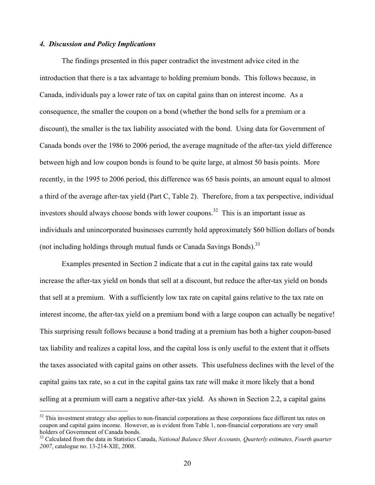## *4. Discussion and Policy Implications*

 $\overline{a}$ 

The findings presented in this paper contradict the investment advice cited in the introduction that there is a tax advantage to holding premium bonds. This follows because, in Canada, individuals pay a lower rate of tax on capital gains than on interest income. As a consequence, the smaller the coupon on a bond (whether the bond sells for a premium or a discount), the smaller is the tax liability associated with the bond. Using data for Government of Canada bonds over the 1986 to 2006 period, the average magnitude of the after-tax yield difference between high and low coupon bonds is found to be quite large, at almost 50 basis points. More recently, in the 1995 to 2006 period, this difference was 65 basis points, an amount equal to almost a third of the average after-tax yield (Part C, Table 2). Therefore, from a tax perspective, individual investors should always choose bonds with lower coupons.<sup>32</sup> This is an important issue as individuals and unincorporated businesses currently hold approximately \$60 billion dollars of bonds (not including holdings through mutual funds or Canada Savings Bonds).<sup>[33](#page-21-1)</sup>

Examples presented in Section 2 indicate that a cut in the capital gains tax rate would increase the after-tax yield on bonds that sell at a discount, but reduce the after-tax yield on bonds that sell at a premium. With a sufficiently low tax rate on capital gains relative to the tax rate on interest income, the after-tax yield on a premium bond with a large coupon can actually be negative! This surprising result follows because a bond trading at a premium has both a higher coupon-based tax liability and realizes a capital loss, and the capital loss is only useful to the extent that it offsets the taxes associated with capital gains on other assets. This usefulness declines with the level of the capital gains tax rate, so a cut in the capital gains tax rate will make it more likely that a bond selling at a premium will earn a negative after-tax yield. As shown in Section 2.2, a capital gains

<span id="page-21-0"></span> $32$  This investment strategy also applies to non-financial corporations as these corporations face different tax rates on coupon and capital gains income. However, as is evident from Table 1, non-financial corporations are very small holders of Government of Canada bonds.<br><sup>33</sup> Calculated from the data in Statistics Canada, *National Balance Sheet Accounts, Quarterly estimates, Fourth quarter* 

<span id="page-21-1"></span>*<sup>2007</sup>*, catalogue no. 13-214-XIE, 2008.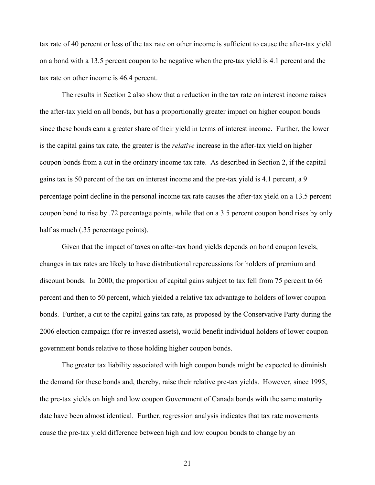tax rate of 40 percent or less of the tax rate on other income is sufficient to cause the after-tax yield on a bond with a 13.5 percent coupon to be negative when the pre-tax yield is 4.1 percent and the tax rate on other income is 46.4 percent.

The results in Section 2 also show that a reduction in the tax rate on interest income raises the after-tax yield on all bonds, but has a proportionally greater impact on higher coupon bonds since these bonds earn a greater share of their yield in terms of interest income. Further, the lower is the capital gains tax rate, the greater is the *relative* increase in the after-tax yield on higher coupon bonds from a cut in the ordinary income tax rate. As described in Section 2, if the capital gains tax is 50 percent of the tax on interest income and the pre-tax yield is 4.1 percent, a 9 percentage point decline in the personal income tax rate causes the after-tax yield on a 13.5 percent coupon bond to rise by .72 percentage points, while that on a 3.5 percent coupon bond rises by only half as much (.35 percentage points).

Given that the impact of taxes on after-tax bond yields depends on bond coupon levels, changes in tax rates are likely to have distributional repercussions for holders of premium and discount bonds. In 2000, the proportion of capital gains subject to tax fell from 75 percent to 66 percent and then to 50 percent, which yielded a relative tax advantage to holders of lower coupon bonds. Further, a cut to the capital gains tax rate, as proposed by the Conservative Party during the 2006 election campaign (for re-invested assets), would benefit individual holders of lower coupon government bonds relative to those holding higher coupon bonds.

The greater tax liability associated with high coupon bonds might be expected to diminish the demand for these bonds and, thereby, raise their relative pre-tax yields. However, since 1995, the pre-tax yields on high and low coupon Government of Canada bonds with the same maturity date have been almost identical. Further, regression analysis indicates that tax rate movements cause the pre-tax yield difference between high and low coupon bonds to change by an

21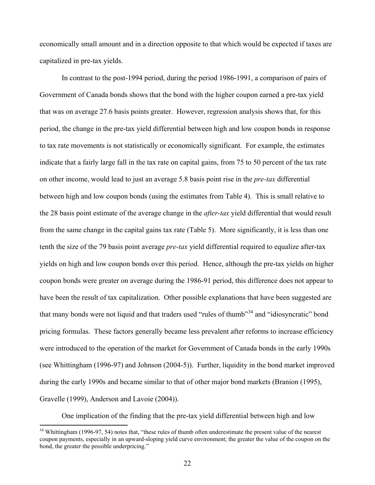economically small amount and in a direction opposite to that which would be expected if taxes are capitalized in pre-tax yields.

In contrast to the post-1994 period, during the period 1986-1991, a comparison of pairs of Government of Canada bonds shows that the bond with the higher coupon earned a pre-tax yield that was on average 27.6 basis points greater. However, regression analysis shows that, for this period, the change in the pre-tax yield differential between high and low coupon bonds in response to tax rate movements is not statistically or economically significant. For example, the estimates indicate that a fairly large fall in the tax rate on capital gains, from 75 to 50 percent of the tax rate on other income, would lead to just an average 5.8 basis point rise in the *pre-tax* differential between high and low coupon bonds (using the estimates from Table 4). This is small relative to the 28 basis point estimate of the average change in the *after-tax* yield differential that would result from the same change in the capital gains tax rate (Table 5). More significantly, it is less than one tenth the size of the 79 basis point average *pre-tax* yield differential required to equalize after-tax yields on high and low coupon bonds over this period. Hence, although the pre-tax yields on higher coupon bonds were greater on average during the 1986-91 period, this difference does not appear to have been the result of tax capitalization. Other possible explanations that have been suggested are that many bonds were not liquid and that traders used "rules of thumb"<sup>34</sup> and "idiosyncratic" bond pricing formulas. These factors generally became less prevalent after reforms to increase efficiency were introduced to the operation of the market for Government of Canada bonds in the early 1990s (see Whittingham (1996-97) and Johnson (2004-5)). Further, liquidity in the bond market improved during the early 1990s and became similar to that of other major bond markets (Branion (1995), Gravelle (1999), Anderson and Lavoie (2004)).

One implication of the finding that the pre-tax yield differential between high and low

<span id="page-23-0"></span> $34$  Whittingham (1996-97, 54) notes that, "these rules of thumb often underestimate the present value of the nearest coupon payments, especially in an upward-sloping yield curve environment; the greater the value of the coupon on the bond, the greater the possible underpricing."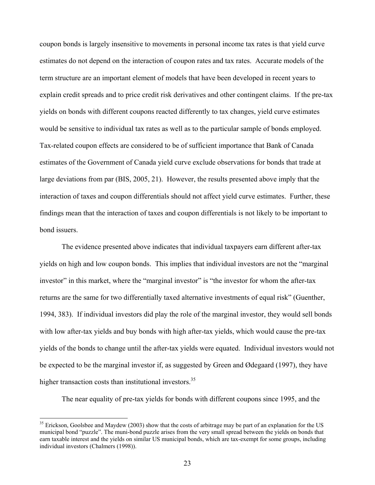coupon bonds is largely insensitive to movements in personal income tax rates is that yield curve estimates do not depend on the interaction of coupon rates and tax rates. Accurate models of the term structure are an important element of models that have been developed in recent years to explain credit spreads and to price credit risk derivatives and other contingent claims. If the pre-tax yields on bonds with different coupons reacted differently to tax changes, yield curve estimates would be sensitive to individual tax rates as well as to the particular sample of bonds employed. Tax-related coupon effects are considered to be of sufficient importance that Bank of Canada estimates of the Government of Canada yield curve exclude observations for bonds that trade at large deviations from par (BIS, 2005, 21). However, the results presented above imply that the interaction of taxes and coupon differentials should not affect yield curve estimates. Further, these findings mean that the interaction of taxes and coupon differentials is not likely to be important to bond issuers.

 The evidence presented above indicates that individual taxpayers earn different after-tax yields on high and low coupon bonds. This implies that individual investors are not the "marginal investor" in this market, where the "marginal investor" is "the investor for whom the after-tax returns are the same for two differentially taxed alternative investments of equal risk" (Guenther, 1994, 383). If individual investors did play the role of the marginal investor, they would sell bonds with low after-tax yields and buy bonds with high after-tax yields, which would cause the pre-tax yields of the bonds to change until the after-tax yields were equated. Individual investors would not be expected to be the marginal investor if, as suggested by Green and Ødegaard (1997), they have higher transaction costs than institutional investors.<sup>35</sup>

The near equality of pre-tax yields for bonds with different coupons since 1995, and the

<span id="page-24-0"></span><sup>&</sup>lt;sup>35</sup> Erickson, Goolsbee and Maydew (2003) show that the costs of arbitrage may be part of an explanation for the US municipal bond "puzzle". The muni-bond puzzle arises from the very small spread between the yields on bonds that earn taxable interest and the yields on similar US municipal bonds, which are tax-exempt for some groups, including individual investors (Chalmers (1998)).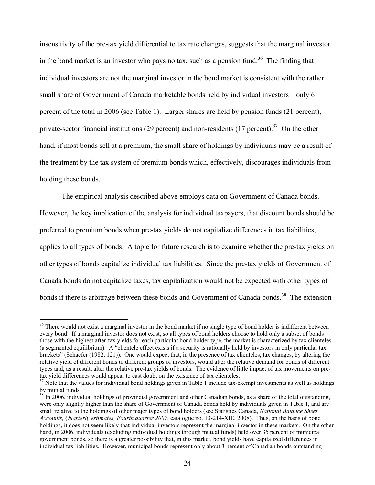insensitivity of the pre-tax yield differential to tax rate changes, suggests that the marginal investor in the bond market is an investor who pays no tax, such as a pension fund.<sup>36</sup> The finding that individual investors are not the marginal investor in the bond market is consistent with the rather small share of Government of Canada marketable bonds held by individual investors – only 6 percent of the total in 2006 (see Table 1). Larger shares are held by pension funds (21 percent), private-sector financial institutions (29 percent) and non-residents (17 percent).<sup>37</sup> On the other hand, if most bonds sell at a premium, the small share of holdings by individuals may be a result of the treatment by the tax system of premium bonds which, effectively, discourages individuals from holding these bonds.

The empirical analysis described above employs data on Government of Canada bonds.

However, the key implication of the analysis for individual taxpayers, that discount bonds should be preferred to premium bonds when pre-tax yields do not capitalize differences in tax liabilities, applies to all types of bonds. A topic for future research is to examine whether the pre-tax yields on other types of bonds capitalize individual tax liabilities. Since the pre-tax yields of Government of Canada bonds do not capitalize taxes, tax capitalization would not be expected with other types of

bonds if there is arbitrage between these bonds and Government of Canada bonds.<sup>38</sup> The extension

<span id="page-25-0"></span><sup>&</sup>lt;sup>36</sup> There would not exist a marginal investor in the bond market if no single type of bond holder is indifferent between every bond. If a marginal investor does not exist, so all types of bond holders choose to hold only a subset of bonds – those with the highest after-tax yields for each particular bond holder type, the market is characterized by tax clienteles (a segmented equilibrium). A "clientele effect exists if a security is rationally held by investors in only particular tax brackets" (Schaefer (1982, 121)). One would expect that, in the presence of tax clienteles, tax changes, by altering the relative yield of different bonds to different groups of investors, would alter the relative demand for bonds of different types and, as a result, alter the relative pre-tax yields of bonds. The evidence of little impact of tax movements on pretax yield differences would appear to cast doubt on the existence of tax clienteles.<br><sup>37</sup> Note that the values for individual bond holdings given in Table 1 include tax-exempt investments as well as holdings

<span id="page-25-1"></span>by mutual funds.<br><sup>38</sup> In 2006, individual holdings of provincial government and other Canadian bonds, as a share of the total outstanding,

<span id="page-25-2"></span>were only slightly higher than the share of Government of Canada bonds held by individuals given in Table 1, and are small relative to the holdings of other major types of bond holders (see Statistics Canada, *National Balance Sheet Accounts, Quarterly estimates, Fourth quarter 2007*, catalogue no. 13-214-XIE, 2008). Thus, on the basis of bond holdings, it does not seem likely that individual investors represent the marginal investor in these markets. On the other hand, in 2006, individuals (excluding individual holdings through mutual funds) held over 35 percent of municipal government bonds, so there is a greater possibility that, in this market, bond yields have capitalized differences in individual tax liabilities. However, municipal bonds represent only about 3 percent of Canadian bonds outstanding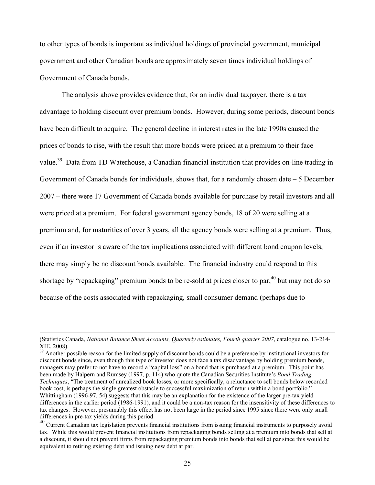to other types of bonds is important as individual holdings of provincial government, municipal government and other Canadian bonds are approximately seven times individual holdings of Government of Canada bonds.

The analysis above provides evidence that, for an individual taxpayer, there is a tax advantage to holding discount over premium bonds. However, during some periods, discount bonds have been difficult to acquire. The general decline in interest rates in the late 1990s caused the prices of bonds to rise, with the result that more bonds were priced at a premium to their face value.<sup>39</sup> Data from TD Waterhouse, a Canadian financial institution that provides on-line trading in Government of Canada bonds for individuals, shows that, for a randomly chosen date  $-5$  December 2007 – there were 17 Government of Canada bonds available for purchase by retail investors and all were priced at a premium. For federal government agency bonds, 18 of 20 were selling at a premium and, for maturities of over 3 years, all the agency bonds were selling at a premium. Thus, even if an investor is aware of the tax implications associated with different bond coupon levels, there may simply be no discount bonds available. The financial industry could respond to this shortage by "repackaging" premium bonds to be re-sold at prices closer to par,  $40$  but may not do so because of the costs associated with repackaging, small consumer demand (perhaps due to

 <sup>(</sup>Statistics Canada, *National Balance Sheet Accounts, Quarterly estimates, Fourth quarter 2007*, catalogue no. 13-214- XIE, 2008).<br><sup>39</sup> Another possible reason for the limited supply of discount bonds could be a preference by institutional investors for

<span id="page-26-0"></span>discount bonds since, even though this type of investor does not face a tax disadvantage by holding premium bonds, managers may prefer to not have to record a "capital loss" on a bond that is purchased at a premium. This point has been made by Halpern and Rumsey (1997, p. 114) who quote the Canadian Securities Institute's *Bond Trading Techniques*, "The treatment of unrealized book losses, or more specifically, a reluctance to sell bonds below recorded book cost, is perhaps the single greatest obstacle to successful maximization of return within a bond portfolio." Whittingham (1996-97, 54) suggests that this may be an explanation for the existence of the larger pre-tax yield differences in the earlier period (1986-1991), and it could be a non-tax reason for the insensitivity of these differences to tax changes. However, presumably this effect has not been large in the period since 1995 since there were only small

<span id="page-26-1"></span>do Current Canadian tax legislation prevents financial institutions from issuing financial instruments to purposely avoid tax. While this would prevent financial institutions from repackaging bonds selling at a premium into bonds that sell at a discount, it should not prevent firms from repackaging premium bonds into bonds that sell at par since this would be equivalent to retiring existing debt and issuing new debt at par.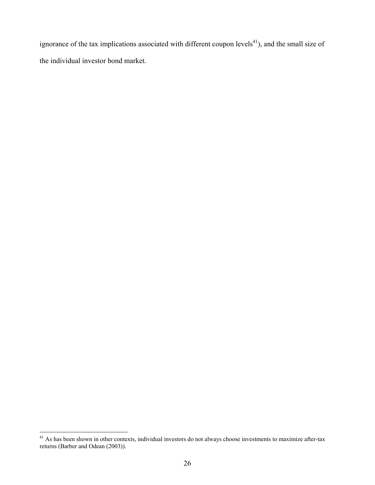ignorance of the tax implications associated with different coupon levels<sup>41</sup>), and the small size of the individual investor bond market.

<span id="page-27-0"></span> $41$  As has been shown in other contexts, individual investors do not always choose investments to maximize after-tax returns (Barber and Odean (2003)).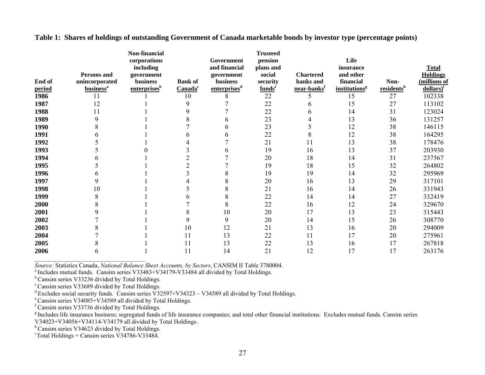|        | <b>Persons and</b>           | Non-financial<br>corporations<br>including<br>government |                     | Government<br>and financial<br>government | <b>Trusteed</b><br>pension<br>plans and<br>social | <b>Chartered</b>        | Life<br><i>insurance</i><br>and other |                        | <b>Total</b><br><b>Holdings</b> |
|--------|------------------------------|----------------------------------------------------------|---------------------|-------------------------------------------|---------------------------------------------------|-------------------------|---------------------------------------|------------------------|---------------------------------|
| End of | unincorporated               | <b>business</b>                                          | <b>Bank of</b>      | <b>business</b>                           | security                                          | banks and               | financial                             | Non-                   | (millions of                    |
| period | <b>business</b> <sup>a</sup> | enterprises <sup>b</sup>                                 | Canada <sup>c</sup> | enterprises <sup>d</sup>                  | funds <sup>e</sup>                                | near-banks <sup>f</sup> | <i>institutions<sup>g</sup></i>       | residents <sup>h</sup> | dollars)                        |
| 1986   | 11                           |                                                          | 10                  | 8                                         | 22                                                |                         | 15                                    | 27                     | 102338                          |
| 1987   | 12                           |                                                          | 9                   |                                           | 22                                                |                         | 15                                    | 27                     | 113102                          |
| 1988   | 11                           |                                                          |                     |                                           | 22                                                |                         | 14                                    | 31                     | 123024                          |
| 1989   | 9                            |                                                          |                     |                                           | 23                                                |                         | 13                                    | 36                     | 131257                          |
| 1990   |                              |                                                          |                     |                                           | 23                                                |                         | 12                                    | 38                     | 146115                          |
| 1991   |                              |                                                          |                     |                                           | 22                                                |                         | 12                                    | 38                     | 164295                          |
| 1992   |                              |                                                          |                     |                                           | 21                                                | 11                      | 13                                    | 38                     | 178476                          |
| 1993   |                              |                                                          |                     |                                           | 19                                                | 16                      | 13                                    | 37                     | 203930                          |
| 1994   |                              |                                                          |                     |                                           | 20                                                | 18                      | 14                                    | 31                     | 237567                          |
| 1995   |                              |                                                          |                     |                                           | 19                                                | 18                      | 15                                    | 32                     | 264802                          |
| 1996   |                              |                                                          |                     |                                           | 19                                                | 19                      | 14                                    | 32                     | 295969                          |
| 1997   |                              |                                                          |                     |                                           | 20                                                | 16                      | 13                                    | 29                     | 317101                          |
| 1998   | 10                           |                                                          |                     |                                           | 21                                                | 16                      | 14                                    | 26                     | 331943                          |
| 1999   |                              |                                                          |                     | 8                                         | 22                                                | 14                      | 14                                    | 27                     | 332419                          |
| 2000   |                              |                                                          |                     | 8                                         | 22                                                | 16                      | 12                                    | 24                     | 329670                          |
| 2001   |                              |                                                          |                     | 10                                        | 20                                                | 17                      | 13                                    | 23                     | 315443                          |
| 2002   |                              |                                                          | 9                   | 9                                         | 20                                                | 14                      | 15                                    | 26                     | 308770                          |
| 2003   |                              |                                                          | 10                  | 12                                        | 21                                                | 13                      | 16                                    | 20                     | 294009                          |
| 2004   |                              |                                                          | 11                  | 13                                        | 22                                                | 11                      | 17                                    | 20                     | 275961                          |
| 2005   |                              |                                                          | 11                  | 13                                        | 22                                                | 13                      | 16                                    | 17                     | 267818                          |
| 2006   |                              |                                                          | 11                  | 14                                        | 21                                                | 12                      | 17                                    | 17                     | 263176                          |

**Table 1: Shares of holdings of outstanding Government of Canada marketable bonds by investor type (percentage points)** 

*\_\_\_\_\_\_\_\_\_\_\_\_\_\_\_\_\_\_\_\_\_\_\_\_\_\_\_\_\_\_\_\_\_\_\_\_ Source:* Statistics Canada, *National Balance Sheet Accounts, by Sectors*, CANSIM II Table 3780004.

a Includes mutual funds. Cansim series V33483+V34179-V33484 all divided by Total Holdings.

<sup>b</sup> Cansim series V33236 divided by Total Holdings.

<sup>c</sup> Cansim series V33689 divided by Total Holdings.

d Excludes social security funds. Cansim series V32597+V34323 – V34589 all divided by Total Holdings.

e Cansim series V34085+V34589 all divided by Total Holdings.

f Cansim series V33736 divided by Total Holdings.

<sup>g</sup> Includes life insurance business; segregated funds of life insurance companies; and total other financial institutions. Excludes mutual funds. Cansim series V34023+V34056+V34114-V34179 all divided by Total Holdings.

h Cansim series V34623 divided by Total Holdings.

 $\overline{Y}$  Total Holdings = Cansim series V34786-V33484.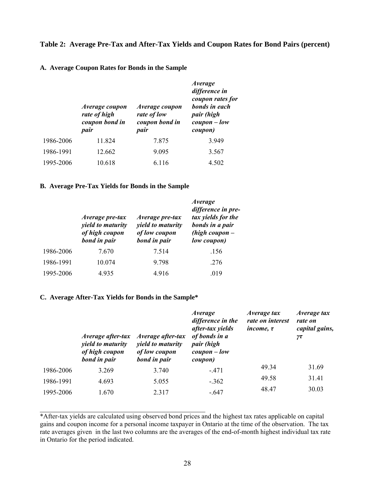## **Table 2: Average Pre-Tax and After-Tax Yields and Coupon Rates for Bond Pairs (percent)**

#### **A. Average Coupon Rates for Bonds in the Sample**

|           | Average coupon<br>rate of high<br>coupon bond in<br>pair | Average coupon<br>rate of low<br>coupon bond in<br>pair | <i>Average</i><br>difference in<br>coupon rates for<br>bonds in each<br>pair (high<br>$coupon-low$<br>coupon) |
|-----------|----------------------------------------------------------|---------------------------------------------------------|---------------------------------------------------------------------------------------------------------------|
| 1986-2006 | 11.824                                                   | 7.875                                                   | 3.949                                                                                                         |
| 1986-1991 | 12.662                                                   | 9.095                                                   | 3.567                                                                                                         |
| 1995-2006 | 10.618                                                   | 6.116                                                   | 4.502                                                                                                         |

#### **B. Average Pre-Tax Yields for Bonds in the Sample**

|           | Average pre-tax<br><i>vield to maturity</i><br>of high coupon<br>bond in pair | Average pre-tax<br><i>vield to maturity</i><br>of low coupon<br>bond in pair | <i>Average</i><br>difference in pre-<br>tax yields for the<br>bonds in a pair<br>(high coupon $-$<br>low coupon) |
|-----------|-------------------------------------------------------------------------------|------------------------------------------------------------------------------|------------------------------------------------------------------------------------------------------------------|
| 1986-2006 | 7.670                                                                         | 7.514                                                                        | .156                                                                                                             |
| 1986-1991 | 10.074                                                                        | 9.798                                                                        | .276                                                                                                             |
| 1995-2006 | 4.935                                                                         | 4.916                                                                        | .019                                                                                                             |

#### **C. Average After-Tax Yields for Bonds in the Sample\***

 $\mathcal{L}_\text{max}$  and  $\mathcal{L}_\text{max}$  and  $\mathcal{L}_\text{max}$  and  $\mathcal{L}_\text{max}$  and  $\mathcal{L}_\text{max}$ 

|           | <i>Average after-tax</i><br><i>vield to maturity</i><br>of high coupon<br>bond in pair | Average after-tax<br><i>vield to maturity</i><br>of low coupon<br>bond in pair | <i>Average</i><br>difference in the<br>after-tax yields<br>of bonds in a<br>pair (high<br>$coupon-low$<br>coupon) | Average tax<br>rate on interest<br>income, $\tau$ | Average tax<br>rate on<br>capital gains,<br>$\gamma\tau$ |
|-----------|----------------------------------------------------------------------------------------|--------------------------------------------------------------------------------|-------------------------------------------------------------------------------------------------------------------|---------------------------------------------------|----------------------------------------------------------|
| 1986-2006 | 3.269                                                                                  | 3.740                                                                          | $-.471$                                                                                                           | 49.34                                             | 31.69                                                    |
| 1986-1991 | 4.693                                                                                  | 5.055                                                                          | $-.362$                                                                                                           | 49.58                                             | 31.41                                                    |
| 1995-2006 | 1.670                                                                                  | 2.317                                                                          | $-.647$                                                                                                           | 48.47                                             | 30.03                                                    |

\*After-tax yields are calculated using observed bond prices and the highest tax rates applicable on capital gains and coupon income for a personal income taxpayer in Ontario at the time of the observation. The tax rate averages given in the last two columns are the averages of the end-of-month highest individual tax rate in Ontario for the period indicated.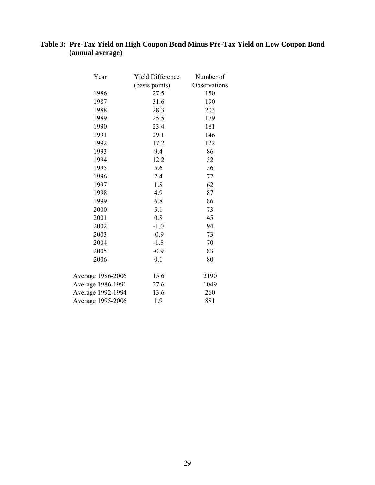# **Table 3: Pre-Tax Yield on High Coupon Bond Minus Pre-Tax Yield on Low Coupon Bond (annual average)**

| Year              | Yield Difference | Number of    |
|-------------------|------------------|--------------|
|                   | (basis points)   | Observations |
| 1986              | 27.5             | 150          |
| 1987              | 31.6             | 190          |
| 1988              | 28.3             | 203          |
| 1989              | 25.5             | 179          |
| 1990              | 23.4             | 181          |
| 1991              | 29.1             | 146          |
| 1992              | 17.2             | 122          |
| 1993              | 9.4              | 86           |
| 1994              | 12.2             | 52           |
| 1995              | 5.6              | 56           |
| 1996              | 2.4              | 72           |
| 1997              | 1.8              | 62           |
| 1998              | 4.9              | 87           |
| 1999              | 6.8              | 86           |
| 2000              | 5.1              | 73           |
| 2001              | 0.8              | 45           |
| 2002              | $-1.0$           | 94           |
| 2003              | $-0.9$           | 73           |
| 2004              | $-1.8$           | 70           |
| 2005              | $-0.9$           | 83           |
| 2006              | 0.1              | 80           |
| Average 1986-2006 | 15.6             | 2190         |
| Average 1986-1991 | 27.6             | 1049         |
| Average 1992-1994 | 13.6             | 260          |
| Average 1995-2006 | 1.9              | 881          |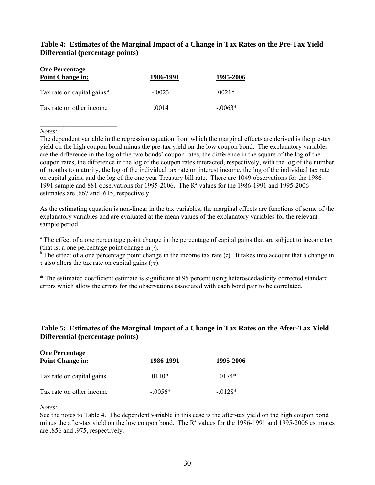# **Table 4: Estimates of the Marginal Impact of a Change in Tax Rates on the Pre-Tax Yield Differential (percentage points)**

| <b>One Percentage</b><br><b>Point Change in:</b> | 1986-1991 | 1995-2006 |  |
|--------------------------------------------------|-----------|-----------|--|
| Tax rate on capital gains <sup>a</sup>           | $-.0023$  | $0021*$   |  |
| Tax rate on other income b                       | .0014     | $-0.063*$ |  |

*Notes:* 

\_\_\_\_\_\_\_\_\_\_\_\_\_\_\_\_\_\_\_\_\_\_\_

The dependent variable in the regression equation from which the marginal effects are derived is the pre-tax yield on the high coupon bond minus the pre-tax yield on the low coupon bond. The explanatory variables are the difference in the log of the two bonds' coupon rates, the difference in the square of the log of the coupon rates, the difference in the log of the coupon rates interacted, respectively, with the log of the number of months to maturity, the log of the individual tax rate on interest income, the log of the individual tax rate on capital gains, and the log of the one year Treasury bill rate. There are 1049 observations for the 1986- 1991 sample and 881 observations for 1995-2006. The  $R^2$  values for the 1986-1991 and 1995-2006 estimates are .667 and .615, respectively.

As the estimating equation is non-linear in the tax variables, the marginal effects are functions of some of the explanatory variables and are evaluated at the mean values of the explanatory variables for the relevant sample period.

<sup>a</sup> The effect of a one percentage point change in the percentage of capital gains that are subject to income tax (that is, a one percentage point change in *γ*).

<sup>b</sup> The effect of a one percentage point change in the income tax rate  $(τ)$ . It takes into account that a change in τ also alters the tax rate on capital gains (*γτ*).

\* The estimated coefficient estimate is significant at 95 percent using heteroscedasticity corrected standard errors which allow the errors for the observations associated with each bond pair to be correlated.

# **Table 5: Estimates of the Marginal Impact of a Change in Tax Rates on the After-Tax Yield Differential (percentage points)**

| <b>One Percentage</b><br><b>Point Change in:</b> | 1986-1991 | 1995-2006  |  |
|--------------------------------------------------|-----------|------------|--|
| Tax rate on capital gains                        | $.0110*$  | $0174*$    |  |
| Tax rate on other income                         | $-0.056*$ | $-0.0128*$ |  |

*Notes:* 

See the notes to Table 4. The dependent variable in this case is the after-tax yield on the high coupon bond minus the after-tax yield on the low coupon bond. The  $R^2$  values for the 1986-1991 and 1995-2006 estimates are .856 and .975, respectively.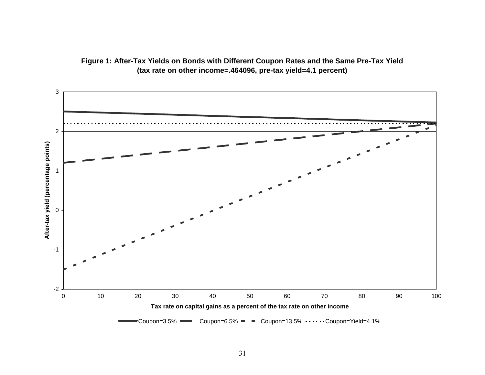

**Figure 1: After-Tax Yields on Bonds with Different Coupon Rates and the Same Pre-Tax Yield (tax rate on other income=.464096, pre-tax yield=4.1 percent)**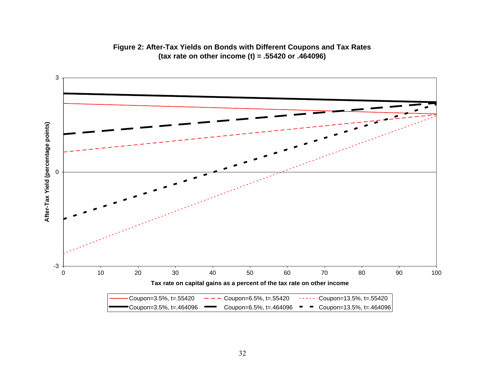

# **Figure 2: After-Tax Yields on Bonds with Different Coupons and Tax Rates (tax rate on other income (t) = .55420 or .464096)**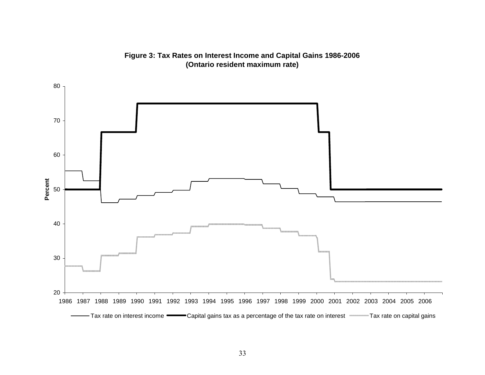**Figure 3: Tax Rates on Interest Income and Capital Gains 1986-2006 (Ontario resident maximum rate)**

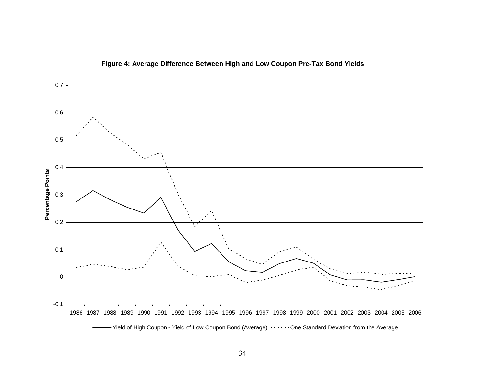

# **Figure 4: Average Difference Between High and Low Coupon Pre-Tax Bond Yields**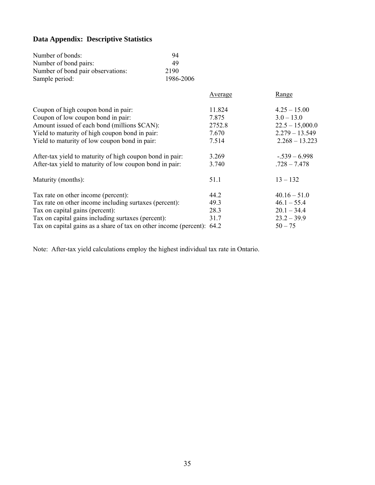# **Data Appendix: Descriptive Statistics**

| Number of bonds:                                                       | 94        |                  |                   |
|------------------------------------------------------------------------|-----------|------------------|-------------------|
| Number of bond pairs:                                                  | 49        |                  |                   |
| Number of bond pair observations:                                      | 2190      |                  |                   |
| Sample period:                                                         | 1986-2006 |                  |                   |
|                                                                        |           | <b>Average</b>   | <b>Range</b>      |
| Coupon of high coupon bond in pair:                                    |           | 11.824           | $4.25 - 15.00$    |
| Coupon of low coupon bond in pair:                                     |           | 7.875            | $3.0 - 13.0$      |
| Amount issued of each bond (millions \$CAN):                           |           | 2752.8           | $22.5 - 15,000.0$ |
| Yield to maturity of high coupon bond in pair:                         | 7.670     | $2.279 - 13.549$ |                   |
| Yield to maturity of low coupon bond in pair:                          | 7.514     | $2.268 - 13.223$ |                   |
| After-tax yield to maturity of high coupon bond in pair:               |           | 3.269            | $-.539 - 6.998$   |
| After-tax yield to maturity of low coupon bond in pair:                |           | 3.740            | $.728 - 7.478$    |
| Maturity (months):                                                     |           | 51.1             | $13 - 132$        |
| Tax rate on other income (percent):                                    |           | 44.2             | $40.16 - 51.0$    |
| Tax rate on other income including surtaxes (percent):                 |           | 49.3             | $46.1 - 55.4$     |
| Tax on capital gains (percent):                                        |           | 28.3             | $20.1 - 34.4$     |
| Tax on capital gains including surtaxes (percent):                     |           | 31.7             | $23.2 - 39.9$     |
| Tax on capital gains as a share of tax on other income (percent): 64.2 |           |                  | $50 - 75$         |

Note: After-tax yield calculations employ the highest individual tax rate in Ontario.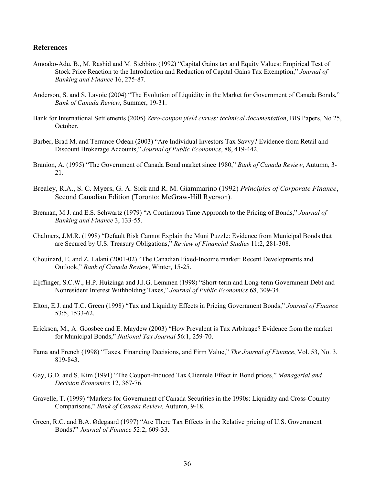## **References**

- Amoako-Adu, B., M. Rashid and M. Stebbins (1992) "Capital Gains tax and Equity Values: Empirical Test of Stock Price Reaction to the Introduction and Reduction of Capital Gains Tax Exemption," *Journal of Banking and Finance* 16, 275-87.
- Anderson, S. and S. Lavoie (2004) "The Evolution of Liquidity in the Market for Government of Canada Bonds," *Bank of Canada Review*, Summer, 19-31.
- Bank for International Settlements (2005) *Zero-coupon yield curves: technical documentation*, BIS Papers, No 25, **October**
- Barber, Brad M. and Terrance Odean (2003) "Are Individual Investors Tax Savvy? Evidence from Retail and Discount Brokerage Accounts," *Journal of Public Economics*, 88, 419-442.
- Branion, A. (1995) "The Government of Canada Bond market since 1980," *Bank of Canada Review*, Autumn, 3- 21.
- Brealey, R.A., S. C. Myers, G. A. Sick and R. M. Giammarino (1992) *Principles of Corporate Finance*, Second Canadian Edition (Toronto: McGraw-Hill Ryerson).
- Brennan, M.J. and E.S. Schwartz (1979) "A Continuous Time Approach to the Pricing of Bonds," *Journal of Banking and Finance* 3, 133-55.
- Chalmers, J.M.R. (1998) "Default Risk Cannot Explain the Muni Puzzle: Evidence from Municipal Bonds that are Secured by U.S. Treasury Obligations," *Review of Financial Studies* 11:2, 281-308.
- Chouinard, E. and Z. Lalani (2001-02) "The Canadian Fixed-Income market: Recent Developments and Outlook," *Bank of Canada Review*, Winter, 15-25.
- Eijffinger, S.C.W., H.P. Huizinga and J.J.G. Lemmen (1998) "Short-term and Long-term Government Debt and Nonresident Interest Withholding Taxes," *Journal of Public Economics* 68, 309-34.
- Elton, E.J. and T.C. Green (1998) "Tax and Liquidity Effects in Pricing Government Bonds," *Journal of Finance* 53:5, 1533-62.
- Erickson, M., A. Goosbee and E. Maydew (2003) "How Prevalent is Tax Arbitrage? Evidence from the market for Municipal Bonds," *National Tax Journal* 56:1, 259-70.
- Fama and French (1998) "Taxes, Financing Decisions, and Firm Value," *The Journal of Finance*, Vol. 53, No. 3, 819-843.
- Gay, G.D. and S. Kim (1991) "The Coupon-Induced Tax Clientele Effect in Bond prices," *Managerial and Decision Economics* 12, 367-76.
- Gravelle, T. (1999) "Markets for Government of Canada Securities in the 1990s: Liquidity and Cross-Country Comparisons," *Bank of Canada Review*, Autumn, 9-18.
- Green, R.C. and B.A. Ødegaard (1997) "Are There Tax Effects in the Relative pricing of U.S. Government Bonds?" *Journal of Finance* 52:2, 609-33.